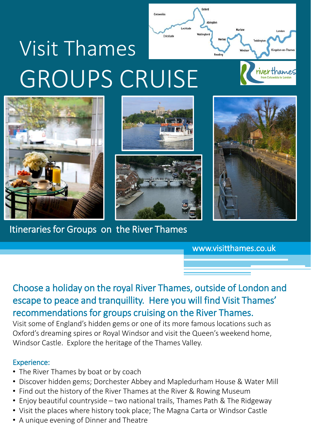

Cotcurold

Itineraries for Groups on the River Thames

www.visitthames.co.uk

Choose a holiday on the royal River Thames, outside of London and escape to peace and tranquillity. Here you will find Visit Thames' recommendations for groups cruising on the River Thames.

Visit some of England's hidden gems or one of its more famous locations such as Oxford's dreaming spires or Royal Windsor and visit the Queen's weekend home, Windsor Castle. Explore the heritage of the Thames Valley.

### Experience:

- The River Thames by boat or by coach
- Discover hidden gems; Dorchester Abbey and Mapledurham House & Water Mill
- Find out the history of the River Thames at the River & Rowing Museum
- Enjoy beautiful countryside two national trails, Thames Path & The Ridgeway
- Visit the places where history took place; The Magna Carta or Windsor Castle
- A unique evening of Dinner and Theatre